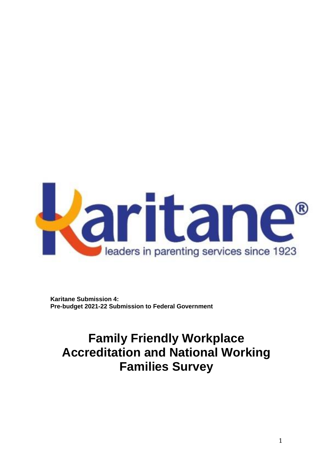

**Karitane Submission 4: Pre-budget 2021-22 Submission to Federal Government**

# **Family Friendly Workplace Accreditation and National Working Families Survey**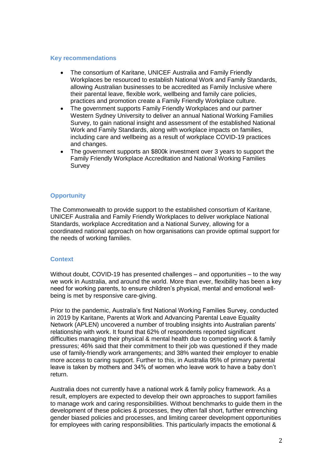#### **Key recommendations**

- The consortium of Karitane, UNICEF Australia and Family Friendly Workplaces be resourced to establish National Work and Family Standards, allowing Australian businesses to be accredited as Family Inclusive where their parental leave, flexible work, wellbeing and family care policies, practices and promotion create a Family Friendly Workplace culture.
- The government supports Family Friendly Workplaces and our partner Western Sydney University to deliver an annual National Working Families Survey, to gain national insight and assessment of the established National Work and Family Standards, along with workplace impacts on families, including care and wellbeing as a result of workplace COVID-19 practices and changes.
- The government supports an \$800k investment over 3 years to support the Family Friendly Workplace Accreditation and National Working Families Survey

# **Opportunity**

The Commonwealth to provide support to the established consortium of Karitane, UNICEF Australia and Family Friendly Workplaces to deliver workplace National Standards, workplace Accreditation and a National Survey, allowing for a coordinated national approach on how organisations can provide optimal support for the needs of working families.

# **Context**

Without doubt, COVID-19 has presented challenges – and opportunities – to the way we work in Australia, and around the world. More than ever, flexibility has been a key need for working parents, to ensure children's physical, mental and emotional wellbeing is met by responsive care-giving.

Prior to the pandemic, Australia's first National Working Families Survey, conducted in 2019 by Karitane, Parents at Work and Advancing Parental Leave Equality Network (APLEN) uncovered a number of troubling insights into Australian parents' relationship with work. It found that 62% of respondents reported significant difficulties managing their physical & mental health due to competing work & family pressures; 46% said that their commitment to their job was questioned if they made use of family-friendly work arrangements; and 38% wanted their employer to enable more access to caring support. Further to this, in Australia 95% of primary parental leave is taken by mothers and 34% of women who leave work to have a baby don't return.

Australia does not currently have a national work & family policy framework. As a result, employers are expected to develop their own approaches to support families to manage work and caring responsibilities. Without benchmarks to guide them in the development of these policies & processes, they often fall short, further entrenching gender biased policies and processes, and limiting career development opportunities for employees with caring responsibilities. This particularly impacts the emotional &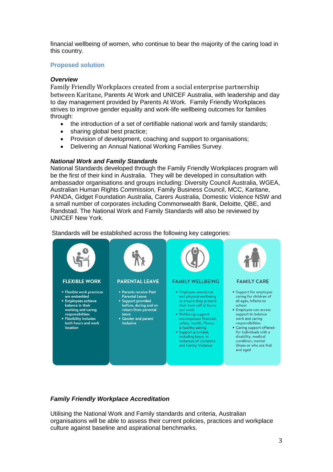financial wellbeing of women, who continue to bear the majority of the caring load in this country.

# **Proposed solution**

### *Overview*

Family Friendly Workplaces created from a social enterprise partnership between Karitane, Parents At Work and UNICEF Australia, with leadership and day to day management provided by Parents At Work. Family Friendly Workplaces strives to improve gender equality and work-life wellbeing outcomes for families through:

- the introduction of a set of certifiable national work and family standards;
- sharing global best practice;
- Provision of development, coaching and support to organisations;
- Delivering an Annual National Working Families Survey.

#### *National Work and Family Standards*

National Standards developed through the Family Friendly Workplaces program will be the first of their kind in Australia. They will be developed in consultation with ambassador organisations and groups including: Diversity Council Australia, WGEA, Australian Human Rights Commission, Family Business Council, MCC, Karitane, PANDA, Gidget Foundation Australia, Carers Australia, Domestic Violence NSW and a small number of corporates including Commonwealth Bank, Deloitte, QBE, and Randstad. The National Work and Family Standards will also be reviewed by UNICEF New York.

**FLEXIBLE WORK PARENTAL LEAVE FAMILY WELLBEING FAMILY CARE** • Parents receive Paid • Support for employee • Flexible work practices · Employee emotional caring for children of are embedded **Parental Leave** and physical wellbeing to ensure they present<br>their best self at home · Employees achieve · Support provided all ages, infants to balance in their before, during and on school working and caring return from parental • Employee can access and work responsibilities leave • Wellbeing support support to balance • Flexibility includes • Gender and parent encompasses financial. work and caring safety, health, fitness both hours and work responsibilities inclusive location & healthy eating • Caring support offered for individuals with a · Support provided, including leave, in disability, medical instances of Domestic condition, mental and Family Violence illness or who are frail and aged

#### Standards will be established across the following key categories:

# *Family Friendly Workplace Accreditation*

Utilising the National Work and Family standards and criteria, Australian organisations will be able to assess their current policies, practices and workplace culture against baseline and aspirational benchmarks.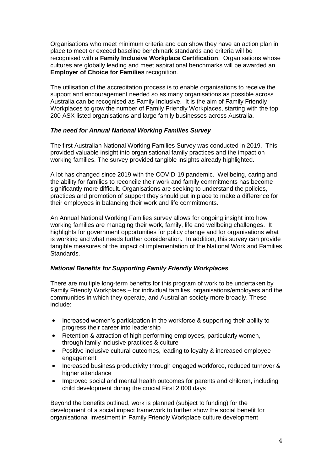Organisations who meet minimum criteria and can show they have an action plan in place to meet or exceed baseline benchmark standards and criteria will be recognised with a **Family Inclusive Workplace Certification**. Organisations whose cultures are globally leading and meet aspirational benchmarks will be awarded an **Employer of Choice for Families** recognition.

The utilisation of the accreditation process is to enable organisations to receive the support and encouragement needed so as many organisations as possible across Australia can be recognised as Family Inclusive. It is the aim of Family Friendly Workplaces to grow the number of Family Friendly Workplaces, starting with the top 200 ASX listed organisations and large family businesses across Australia.

#### *The need for Annual National Working Families Survey*

The first Australian National Working Families Survey was conducted in 2019. This provided valuable insight into organisational family practices and the impact on working families. The survey provided tangible insights already highlighted.

A lot has changed since 2019 with the COVID-19 pandemic. Wellbeing, caring and the ability for families to reconcile their work and family commitments has become significantly more difficult. Organisations are seeking to understand the policies, practices and promotion of support they should put in place to make a difference for their employees in balancing their work and life commitments.

An Annual National Working Families survey allows for ongoing insight into how working families are managing their work, family, life and wellbeing challenges. It highlights for government opportunities for policy change and for organisations what is working and what needs further consideration. In addition, this survey can provide tangible measures of the impact of implementation of the National Work and Families Standards.

# *National Benefits for Supporting Family Friendly Workplaces*

There are multiple long-term benefits for this program of work to be undertaken by Family Friendly Workplaces – for individual families, organisations/employers and the communities in which they operate, and Australian society more broadly. These include:

- Increased women's participation in the workforce & supporting their ability to progress their career into leadership
- Retention & attraction of high performing employees, particularly women, through family inclusive practices & culture
- Positive inclusive cultural outcomes, leading to loyalty & increased employee engagement
- Increased business productivity through engaged workforce, reduced turnover & higher attendance
- Improved social and mental health outcomes for parents and children, including child development during the crucial First 2,000 days

Beyond the benefits outlined, work is planned (subject to funding) for the development of a social impact framework to further show the social benefit for organisational investment in Family Friendly Workplace culture development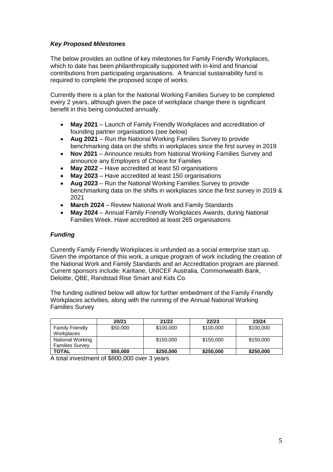# *Key Proposed Milestones*

The below provides an outline of key milestones for Family Friendly Workplaces, which to date has been philanthropically supported with in-kind and financial contributions from participating organisations. A financial sustainability fund is required to complete the proposed scope of works.

Currently there is a plan for the National Working Families Survey to be completed every 2 years, although given the pace of workplace change there is significant benefit in this being conducted annually.

- **May 2021** Launch of Family Friendly Workplaces and accreditation of founding partner organisations (see below)
- **Aug 2021** Run the National Working Families Survey to provide benchmarking data on the shifts in workplaces since the first survey in 2019
- **Nov 2021** Announce results from National Working Families Survey and announce any Employers of Choice for Families
- **May 2022** Have accredited at least 50 organisations
- **May 2023** Have accredited at least 150 organisations
- **Aug 2023** Run the National Working Families Survey to provide benchmarking data on the shifts in workplaces since the first survey in 2019 & 2021
- **March 2024** Review National Work and Family Standards
- **May 2024** Annual Family Friendly Workplaces Awards, during National Families Week. Have accredited at least 265 organisations

# *Funding*

Currently Family Friendly Workplaces is unfunded as a social enterprise start up. Given the importance of this work, a unique program of work including the creation of the National Work and Family Standards and an Accreditation program are planned. Current sponsors include: Karitane, UNICEF Australia, Commonwealth Bank, Deloitte, QBE, Randstad Rise Smart and Kids Co.

The funding outlined below will allow for further embedment of the Family Friendly Workplaces activities, along with the running of the Annual National Working Families Survey

|                        | 20/21    | 21/22     | 22/23     | 23/24     |
|------------------------|----------|-----------|-----------|-----------|
| <b>Family Friendly</b> | \$50,000 | \$100,000 | \$100,000 | \$100,000 |
| Workplaces             |          |           |           |           |
| National Working       |          | \$150,000 | \$150,000 | \$150,000 |
| <b>Families Survey</b> |          |           |           |           |
| <b>TOTAL</b>           | \$50,000 | \$250,000 | \$250,000 | \$250,000 |

A total investment of \$800,000 over 3 years